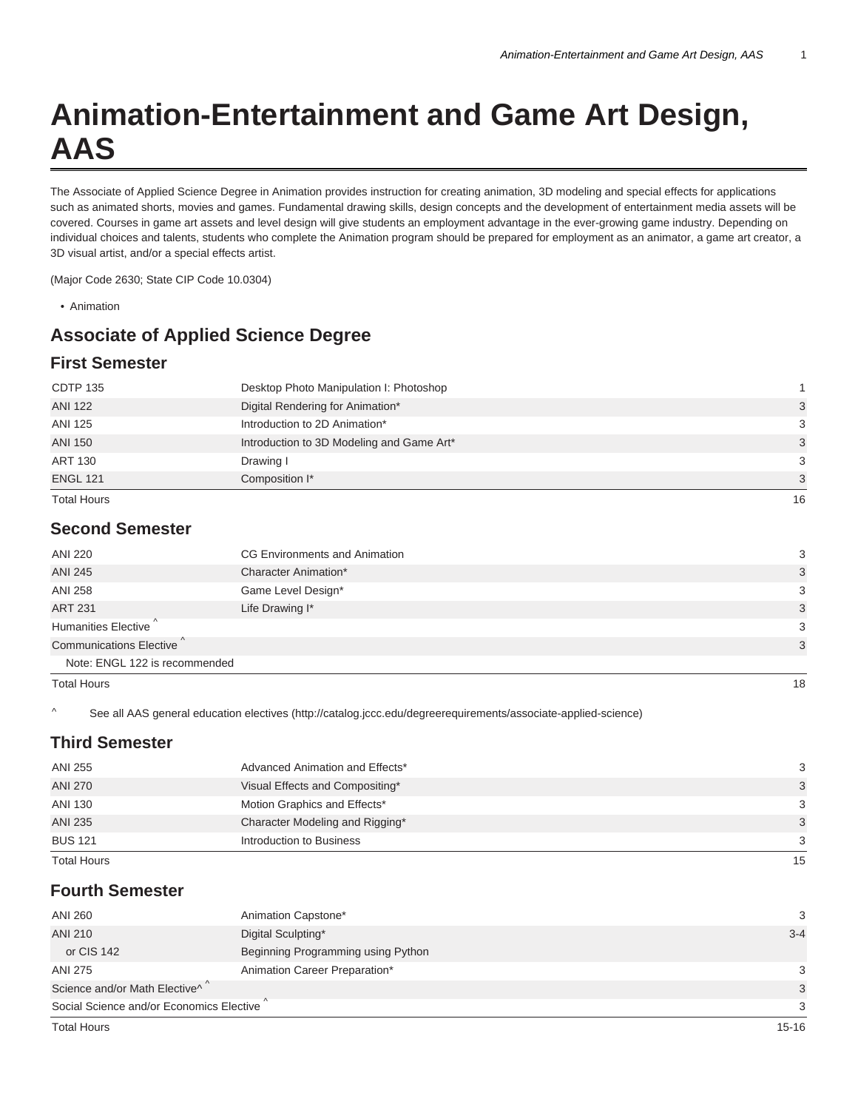# **Animation-Entertainment and Game Art Design, AAS**

The Associate of Applied Science Degree in Animation provides instruction for creating animation, 3D modeling and special effects for applications such as animated shorts, movies and games. Fundamental drawing skills, design concepts and the development of entertainment media assets will be covered. Courses in game art assets and level design will give students an employment advantage in the ever-growing game industry. Depending on individual choices and talents, students who complete the Animation program should be prepared for employment as an animator, a game art creator, a 3D visual artist, and/or a special effects artist.

(Major Code 2630; State CIP Code 10.0304)

• Animation

# **Associate of Applied Science Degree**

# **First Semester**

| <b>CDTP 135</b>    | Desktop Photo Manipulation I: Photoshop   |    |
|--------------------|-------------------------------------------|----|
| <b>ANI 122</b>     | Digital Rendering for Animation*          | 3  |
| ANI 125            | Introduction to 2D Animation*             | 3  |
| <b>ANI 150</b>     | Introduction to 3D Modeling and Game Art* | 3  |
| <b>ART 130</b>     | Drawing I                                 | 3  |
| <b>ENGL 121</b>    | Composition I*                            | 3  |
| <b>Total Hours</b> |                                           | 16 |

#### **Second Semester**

| ANI 220                                                                  | CG Environments and Animation | 3  |
|--------------------------------------------------------------------------|-------------------------------|----|
| <b>ANI 245</b>                                                           | Character Animation*          | 3  |
| <b>ANI 258</b>                                                           | Game Level Design*            | 3  |
| <b>ART 231</b>                                                           | Life Drawing I*               | 3  |
| Humanities Elective <sup>"</sup><br>Communications Elective <sup>^</sup> |                               | 3  |
|                                                                          |                               | 3  |
| Note: ENGL 122 is recommended                                            |                               |    |
| <b>Total Hours</b>                                                       |                               | 18 |

^ See all AAS general education electives (http://catalog.jccc.edu/degreerequirements/associate-applied-science)

### **Third Semester**

| 3  |
|----|
|    |
| 3  |
| -3 |
| 3  |
| 3  |
|    |

## **Fourth Semester**

| ANI 260                                   | Animation Capstone*                | 3       |
|-------------------------------------------|------------------------------------|---------|
| ANI 210                                   | Digital Sculpting*                 | $3 - 4$ |
| or CIS 142                                | Beginning Programming using Python |         |
| ANI 275                                   | Animation Career Preparation*      | 3       |
| Science and/or Math Elective <sup>^</sup> |                                    | 3       |
| Social Science and/or Economics Elective  |                                    | 3       |
|                                           |                                    |         |

Total Hours 15-16